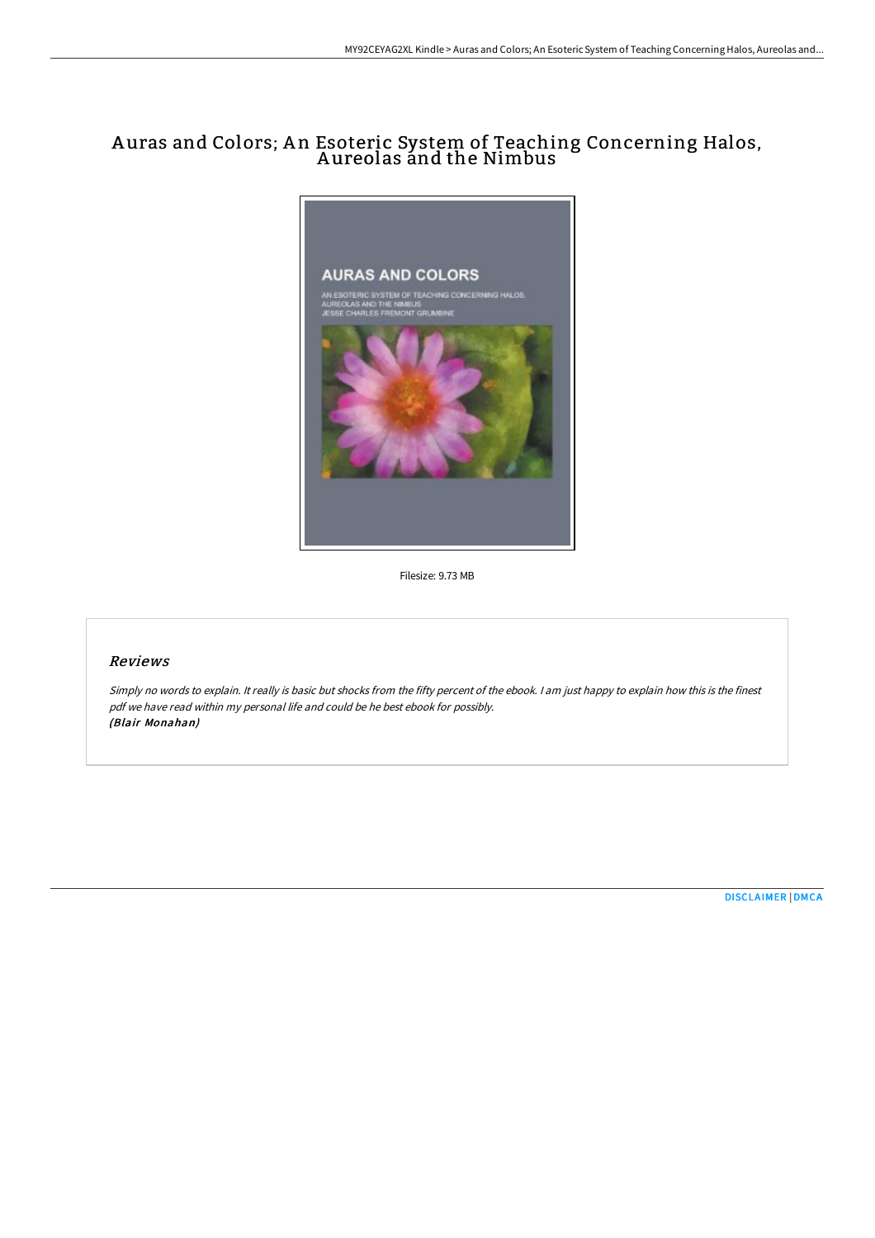# A uras and Colors; A n Esoteric System of Teaching Concerning Halos, Aureolas ánd the Nimbus



Filesize: 9.73 MB

## Reviews

Simply no words to explain. It really is basic but shocks from the fifty percent of the ebook. I am just happy to explain how this is the finest pdf we have read within my personal life and could be he best ebook for possibly. (Blair Monahan)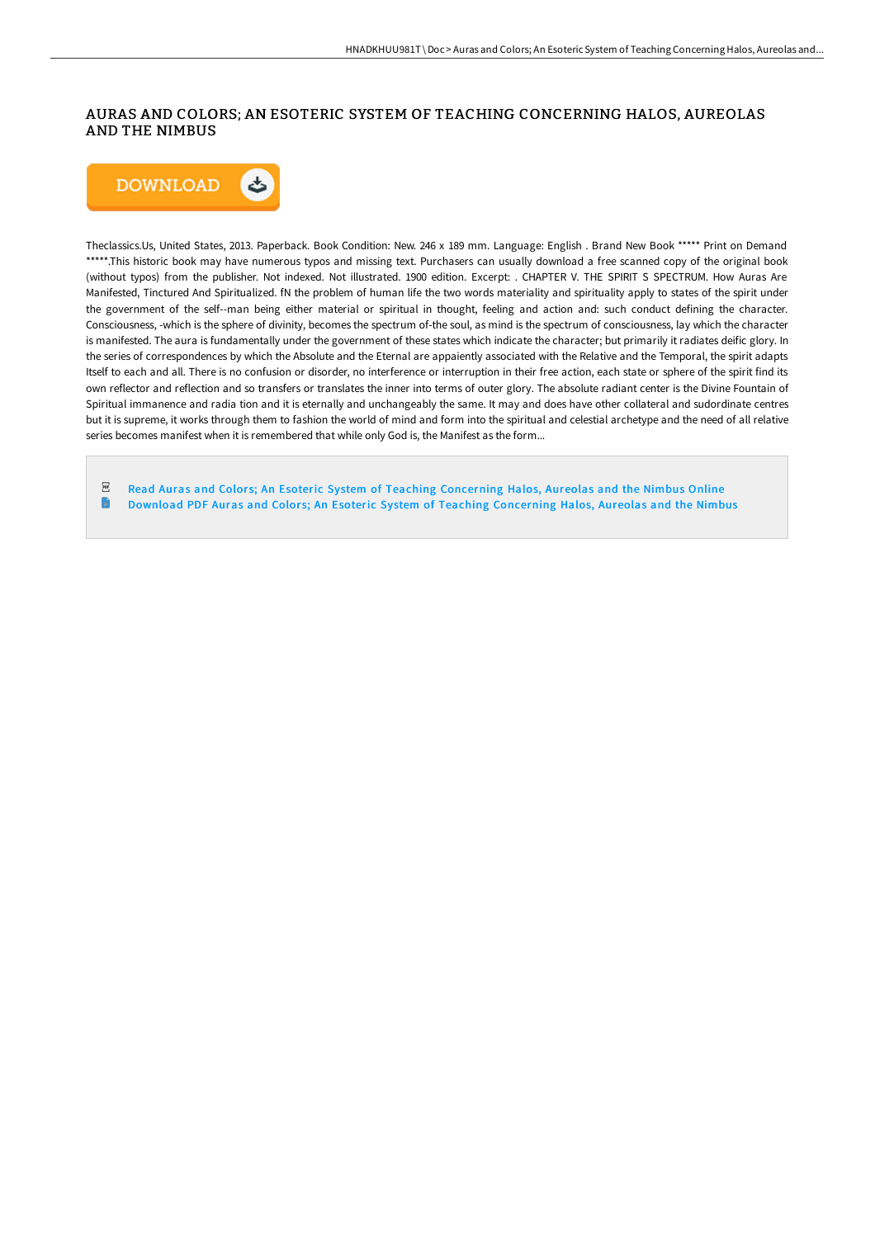# AURAS AND COLORS; AN ESOTERIC SYSTEM OF TEACHING CONCERNING HALOS, AUREOLAS AND THE NIMBUS



Theclassics.Us, United States, 2013. Paperback. Book Condition: New. 246 x 189 mm. Language: English . Brand New Book \*\*\*\*\* Print on Demand \*\*\*\*\*.This historic book may have numerous typos and missing text. Purchasers can usually download a free scanned copy of the original book (without typos) from the publisher. Not indexed. Not illustrated. 1900 edition. Excerpt: . CHAPTER V. THE SPIRIT S SPECTRUM. How Auras Are Manifested, Tinctured And Spiritualized. fN the problem of human life the two words materiality and spirituality apply to states of the spirit under the government of the self--man being either material or spiritual in thought, feeling and action and: such conduct defining the character. Consciousness, -which is the sphere of divinity, becomes the spectrum of-the soul, as mind is the spectrum of consciousness, lay which the character is manifested. The aura is fundamentally under the government of these states which indicate the character; but primarily it radiates deific glory. In the series of correspondences by which the Absolute and the Eternal are appaiently associated with the Relative and the Temporal, the spirit adapts Itself to each and all. There is no confusion or disorder, no interference or interruption in their free action, each state or sphere of the spirit find its own reflector and reflection and so transfers or translates the inner into terms of outer glory. The absolute radiant center is the Divine Fountain of Spiritual immanence and radia tion and it is eternally and unchangeably the same. It may and does have other collateral and sudordinate centres but it is supreme, it works through them to fashion the world of mind and form into the spiritual and celestial archetype and the need of all relative series becomes manifest when it is remembered that while only God is, the Manifest as the form...

 $_{\rm PDF}$ Read Auras and Colors; An Esoteric System of Teaching [Concerning](http://techno-pub.tech/auras-and-colors-an-esoteric-system-of-teaching-.html) Halos, Aureolas and the Nimbus Online n Download PDF Auras and Colors; An Esoteric System of Teaching [Concerning](http://techno-pub.tech/auras-and-colors-an-esoteric-system-of-teaching-.html) Halos, Aureolas and the Nimbus